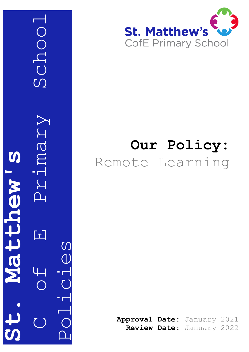



# **Our Policy:** Remote Learning

**Approval Date:** January 2021 **Review Date:** January 2022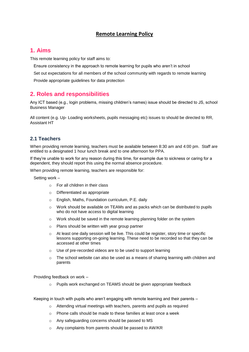## **Remote Learning Policy**

# **1. Aims**

This remote learning policy for staff aims to:

- Ensure consistency in the approach to remote learning for pupils who aren't in school
- Set out expectations for all members of the school community with regards to remote learning
- Provide appropriate guidelines for data protection

# **2. Roles and responsibilities**

Any ICT based (e.g., login problems, missing children's names) issue should be directed to JS, school Business Manager

All content (e.g. Up- Loading worksheets, pupils messaging etc) issues to should be directed to RR, Assistant HT

## **2.1 Teachers**

When providing remote learning, teachers must be available between 8:30 am and 4:00 pm. Staff are entitled to a designated 1 hour lunch break and to one afternoon for PPA.

If they're unable to work for any reason during this time, for example due to sickness or caring for a dependent, they should report this using the normal absence procedure.

When providing remote learning, teachers are responsible for:

Setting work –

- o For all children in their class
- o Differentiated as appropriate
- o English, Maths, Foundation curriculum, P.E. daily
- $\circ$  Work should be available on TEAMs and as packs which can be distributed to pupils who do not have access to digital learning
- $\circ$  Work should be saved in the remote learning planning folder on the system
- o Plans should be written with year group partner
- $\circ$  At least one daily session will be live. This could be register, story time or specific lessons supporting on-going learning. These need to be recorded so that they can be accessed at other times
- o Use of pre-recorded videos are to be used to support learning
- $\circ$  The school website can also be used as a means of sharing learning with children and parents

Providing feedback on work –

Pupils work exchanged on TEAMS should be given appropriate feedback

Keeping in touch with pupils who aren't engaging with remote learning and their parents –

- o Attending virtual meetings with teachers, parents and pupils as required
- o Phone calls should be made to these families at least once a week
- o Any safeguarding concerns should be passed to MS
- o Any complaints from parents should be passed to AW/KR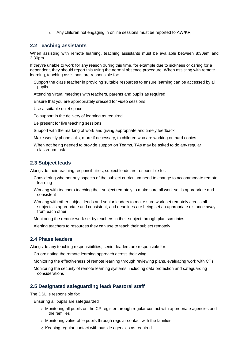o Any children not engaging in online sessions must be reported to AW/KR

#### **2.2 Teaching assistants**

When assisting with remote learning, teaching assistants must be available between 8:30am and 3:30pm

If they're unable to work for any reason during this time, for example due to sickness or caring for a dependent, they should report this using the normal absence procedure. When assisting with remote learning, teaching assistants are responsible for:

Support the class teacher in providing suitable resources to ensure learning can be accessed by all pupils

Attending virtual meetings with teachers, parents and pupils as required

Ensure that you are appropriately dressed for video sessions

Use a suitable quiet space

To support in the delivery of learning as required

Be present for live teaching sessions

Support with the marking of work and giving appropriate and timely feedback

Make weekly phone calls, more if necessary, to children who are working on hard copies

When not being needed to provide support on Teams, TAs may be asked to do any regular classroom task

#### **2.3 Subject leads**

Alongside their teaching responsibilities, subject leads are responsible for:

- Considering whether any aspects of the subject curriculum need to change to accommodate remote learning
- Working with teachers teaching their subject remotely to make sure all work set is appropriate and consistent
- Working with other subject leads and senior leaders to make sure work set remotely across all subjects is appropriate and consistent, and deadlines are being set an appropriate distance away from each other

Monitoring the remote work set by teachers in their subject through plan scrutinies

Alerting teachers to resources they can use to teach their subject remotely

#### **2.4 Phase leaders**

Alongside any teaching responsibilities, senior leaders are responsible for:

Co-ordinating the remote learning approach across their wing

Monitoring the effectiveness of remote learning through reviewing plans, evaluating work with CTs

Monitoring the security of remote learning systems, including data protection and safeguarding considerations

#### **2.5 Designated safeguarding lead/ Pastoral staff**

The DSL is responsible for:

Ensuring all pupils are safeguarded

- o Monitoring all pupils on the CP register through regular contact with appropriate agencies and the families
- o Monitoring vulnerable pupils through regular contact with the families
- o Keeping regular contact with outside agencies as required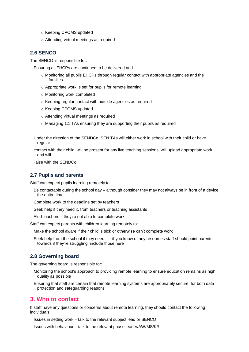- o Keeping CPOMS updated
- o Attending virtual meetings as required

## **2.6 SENCO**

The SENCO is responsible for:

Ensuring all EHCPs are continued to be delivered and

- $\circ$  Monitoring all pupils EHCPs through regular contact with appropriate agencies and the families
- o Appropriate work is set for pupils for remote learning
- o Monitoring work completed
- o Keeping regular contact with outside agencies as required
- o Keeping CPOMS updated
- o Attending virtual meetings as required
- o Managing 1:1 TAs ensuring they are supporting their pupils as required
- Under the direction of the SENDCo, SEN TAs will either work in school with their child or have regular
- contact with their child, will be present for any live teaching sessions, will upload appropriate work and will

liaise with the SENDCo.

#### **2.7 Pupils and parents**

Staff can expect pupils learning remotely to:

- Be contactable during the school day although consider they may not always be in front of a device the entire time
- Complete work to the deadline set by teachers
- Seek help if they need it, from teachers or teaching assistants

Alert teachers if they're not able to complete work

Staff can expect parents with children learning remotely to:

Make the school aware if their child is sick or otherwise can't complete work

Seek help from the school if they need it – if you know of any resources staff should point parents towards if they're struggling, include those here

#### **2.8 Governing board**

The governing board is responsible for:

- Monitoring the school's approach to providing remote learning to ensure education remains as high quality as possible
- Ensuring that staff are certain that remote learning systems are appropriately secure, for both data protection and safeguarding reasons

### **3. Who to contact**

If staff have any questions or concerns about remote learning, they should contact the following individuals:

Issues in setting work – talk to the relevant subject lead or SENCO

Issues with behaviour – talk to the relevant phase leader/AW/MS/KR